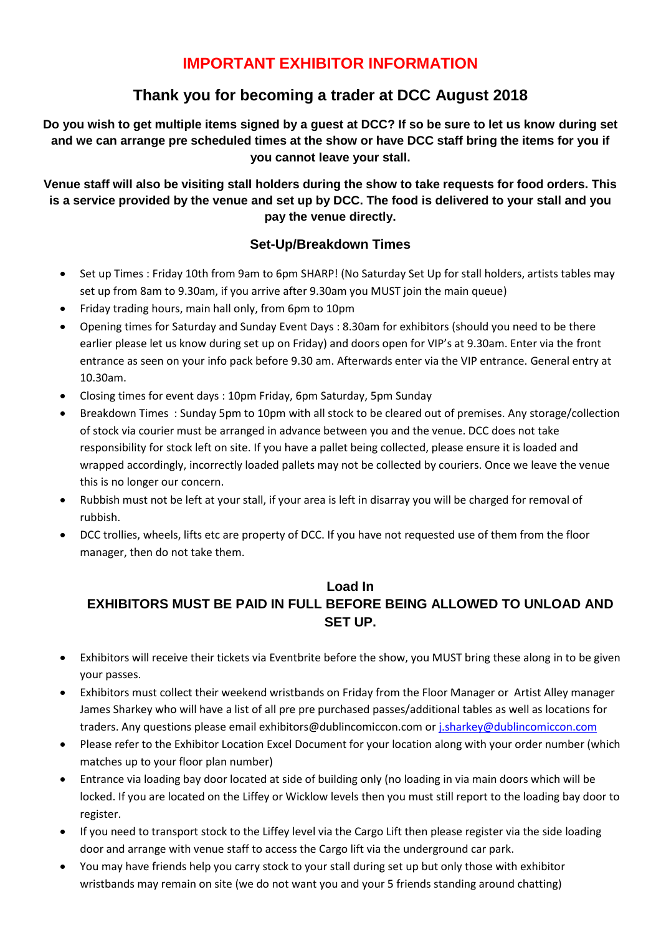# **IMPORTANT EXHIBITOR INFORMATION**

# **Thank you for becoming a trader at DCC August 2018**

**Do you wish to get multiple items signed by a guest at DCC? If so be sure to let us know during set and we can arrange pre scheduled times at the show or have DCC staff bring the items for you if you cannot leave your stall.**

**Venue staff will also be visiting stall holders during the show to take requests for food orders. This is a service provided by the venue and set up by DCC. The food is delivered to your stall and you pay the venue directly.**

### **Set-Up/Breakdown Times**

- Set up Times : Friday 10th from 9am to 6pm SHARP! (No Saturday Set Up for stall holders, artists tables may set up from 8am to 9.30am, if you arrive after 9.30am you MUST join the main queue)
- Friday trading hours, main hall only, from 6pm to 10pm
- Opening times for Saturday and Sunday Event Days : 8.30am for exhibitors (should you need to be there earlier please let us know during set up on Friday) and doors open for VIP's at 9.30am. Enter via the front entrance as seen on your info pack before 9.30 am. Afterwards enter via the VIP entrance. General entry at 10.30am.
- Closing times for event days : 10pm Friday, 6pm Saturday, 5pm Sunday
- Breakdown Times : Sunday 5pm to 10pm with all stock to be cleared out of premises. Any storage/collection of stock via courier must be arranged in advance between you and the venue. DCC does not take responsibility for stock left on site. If you have a pallet being collected, please ensure it is loaded and wrapped accordingly, incorrectly loaded pallets may not be collected by couriers. Once we leave the venue this is no longer our concern.
- Rubbish must not be left at your stall, if your area is left in disarray you will be charged for removal of rubbish.
- DCC trollies, wheels, lifts etc are property of DCC. If you have not requested use of them from the floor manager, then do not take them.

## **Load In EXHIBITORS MUST BE PAID IN FULL BEFORE BEING ALLOWED TO UNLOAD AND SET UP.**

- Exhibitors will receive their tickets via Eventbrite before the show, you MUST bring these along in to be given your passes.
- Exhibitors must collect their weekend wristbands on Friday from the Floor Manager or Artist Alley manager James Sharkey who will have a list of all pre pre purchased passes/additional tables as well as locations for traders. Any questions please email exhibitors@dublincomiccon.com or [j.sharkey@dublincomiccon.com](mailto:j.sharkey@dublincomiccon.com)
- Please refer to the Exhibitor Location Excel Document for your location along with your order number (which matches up to your floor plan number)
- Entrance via loading bay door located at side of building only (no loading in via main doors which will be locked. If you are located on the Liffey or Wicklow levels then you must still report to the loading bay door to register.
- If you need to transport stock to the Liffey level via the Cargo Lift then please register via the side loading door and arrange with venue staff to access the Cargo lift via the underground car park.
- You may have friends help you carry stock to your stall during set up but only those with exhibitor wristbands may remain on site (we do not want you and your 5 friends standing around chatting)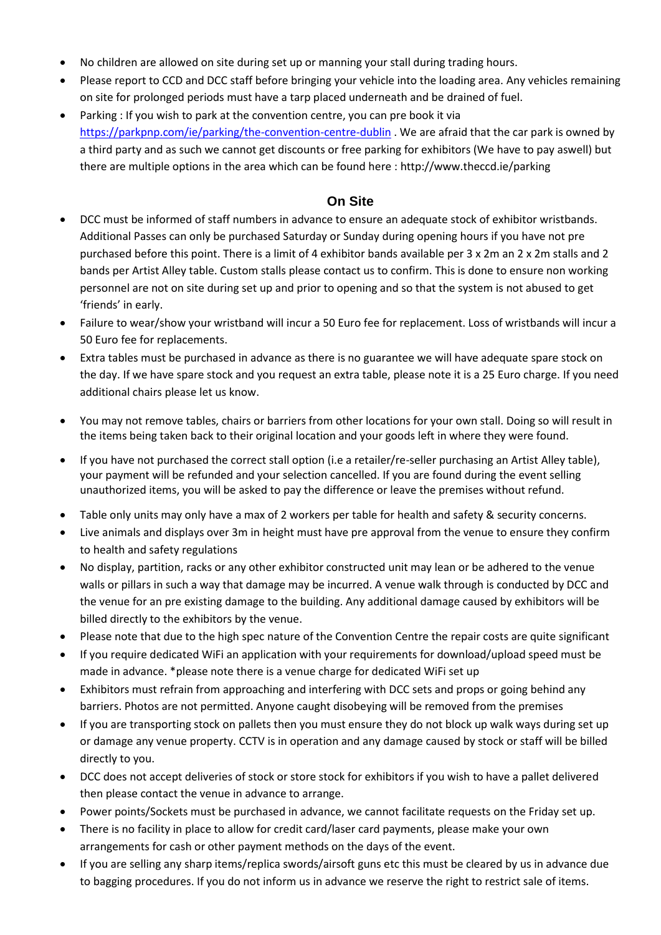- No children are allowed on site during set up or manning your stall during trading hours.
- Please report to CCD and DCC staff before bringing your vehicle into the loading area. Any vehicles remaining on site for prolonged periods must have a tarp placed underneath and be drained of fuel.
- Parking : If you wish to park at the convention centre, you can pre book it via <https://parkpnp.com/ie/parking/the-convention-centre-dublin> . We are afraid that the car park is owned by a third party and as such we cannot get discounts or free parking for exhibitors (We have to pay aswell) but there are multiple options in the area which can be found here : http://www.theccd.ie/parking

### **On Site**

- DCC must be informed of staff numbers in advance to ensure an adequate stock of exhibitor wristbands. Additional Passes can only be purchased Saturday or Sunday during opening hours if you have not pre purchased before this point. There is a limit of 4 exhibitor bands available per 3 x 2m an 2 x 2m stalls and 2 bands per Artist Alley table. Custom stalls please contact us to confirm. This is done to ensure non working personnel are not on site during set up and prior to opening and so that the system is not abused to get 'friends' in early.
- Failure to wear/show your wristband will incur a 50 Euro fee for replacement. Loss of wristbands will incur a 50 Euro fee for replacements.
- Extra tables must be purchased in advance as there is no guarantee we will have adequate spare stock on the day. If we have spare stock and you request an extra table, please note it is a 25 Euro charge. If you need additional chairs please let us know.
- You may not remove tables, chairs or barriers from other locations for your own stall. Doing so will result in the items being taken back to their original location and your goods left in where they were found.
- If you have not purchased the correct stall option (i.e a retailer/re-seller purchasing an Artist Alley table), your payment will be refunded and your selection cancelled. If you are found during the event selling unauthorized items, you will be asked to pay the difference or leave the premises without refund.
- Table only units may only have a max of 2 workers per table for health and safety & security concerns.
- Live animals and displays over 3m in height must have pre approval from the venue to ensure they confirm to health and safety regulations
- No display, partition, racks or any other exhibitor constructed unit may lean or be adhered to the venue walls or pillars in such a way that damage may be incurred. A venue walk through is conducted by DCC and the venue for an pre existing damage to the building. Any additional damage caused by exhibitors will be billed directly to the exhibitors by the venue.
- Please note that due to the high spec nature of the Convention Centre the repair costs are quite significant
- If you require dedicated WiFi an application with your requirements for download/upload speed must be made in advance. \*please note there is a venue charge for dedicated WiFi set up
- Exhibitors must refrain from approaching and interfering with DCC sets and props or going behind any barriers. Photos are not permitted. Anyone caught disobeying will be removed from the premises
- If you are transporting stock on pallets then you must ensure they do not block up walk ways during set up or damage any venue property. CCTV is in operation and any damage caused by stock or staff will be billed directly to you.
- DCC does not accept deliveries of stock or store stock for exhibitors if you wish to have a pallet delivered then please contact the venue in advance to arrange.
- Power points/Sockets must be purchased in advance, we cannot facilitate requests on the Friday set up.
- There is no facility in place to allow for credit card/laser card payments, please make your own arrangements for cash or other payment methods on the days of the event.
- If you are selling any sharp items/replica swords/airsoft guns etc this must be cleared by us in advance due to bagging procedures. If you do not inform us in advance we reserve the right to restrict sale of items.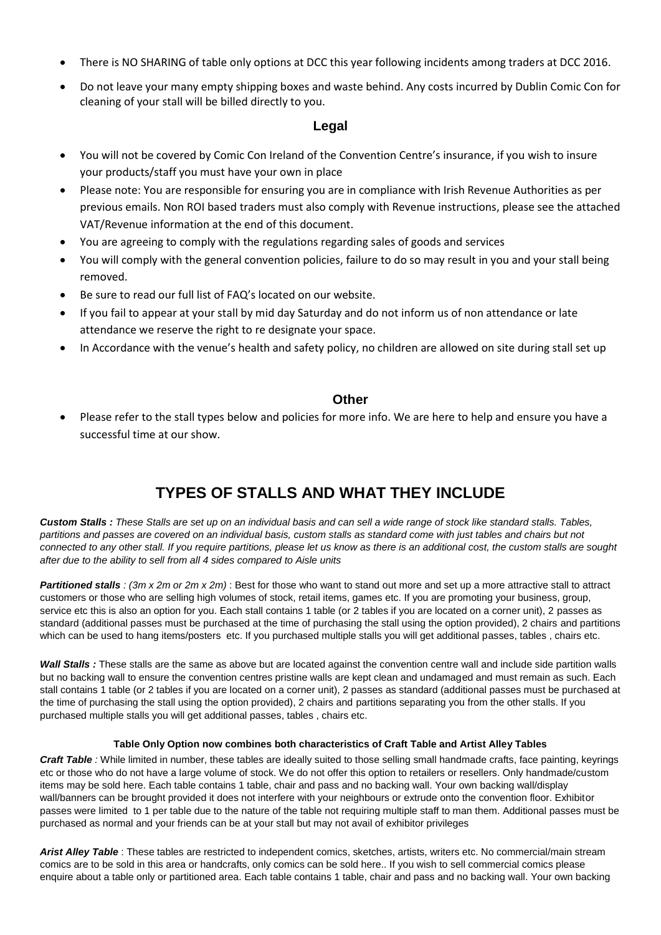- There is NO SHARING of table only options at DCC this year following incidents among traders at DCC 2016.
- Do not leave your many empty shipping boxes and waste behind. Any costs incurred by Dublin Comic Con for cleaning of your stall will be billed directly to you.

### **Legal**

- You will not be covered by Comic Con Ireland of the Convention Centre's insurance, if you wish to insure your products/staff you must have your own in place
- Please note: You are responsible for ensuring you are in compliance with Irish Revenue Authorities as per previous emails. Non ROI based traders must also comply with Revenue instructions, please see the attached VAT/Revenue information at the end of this document.
- You are agreeing to comply with the regulations regarding sales of goods and services
- You will comply with the general convention policies, failure to do so may result in you and your stall being removed.
- Be sure to read our full list of FAQ's located on our website.
- If you fail to appear at your stall by mid day Saturday and do not inform us of non attendance or late attendance we reserve the right to re designate your space.
- In Accordance with the venue's health and safety policy, no children are allowed on site during stall set up

### **Other**

• Please refer to the stall types below and policies for more info. We are here to help and ensure you have a successful time at our show.

# **TYPES OF STALLS AND WHAT THEY INCLUDE**

Custom Stalls : These Stalls are set up on an individual basis and can sell a wide range of stock like standard stalls. Tables, partitions and passes are covered on an individual basis, custom stalls as standard come with just tables and chairs but not connected to any other stall. If you require partitions, please let us know as there is an additional cost, the custom stalls are sought *after due to the ability to sell from all 4 sides compared to Aisle units*

*Partitioned stalls : (3m x 2m or 2m x 2m)* : Best for those who want to stand out more and set up a more attractive stall to attract customers or those who are selling high volumes of stock, retail items, games etc. If you are promoting your business, group, service etc this is also an option for you. Each stall contains 1 table (or 2 tables if you are located on a corner unit), 2 passes as standard (additional passes must be purchased at the time of purchasing the stall using the option provided), 2 chairs and partitions which can be used to hang items/posters etc. If you purchased multiple stalls you will get additional passes, tables, chairs etc.

*Wall Stalls :* These stalls are the same as above but are located against the convention centre wall and include side partition walls but no backing wall to ensure the convention centres pristine walls are kept clean and undamaged and must remain as such. Each stall contains 1 table (or 2 tables if you are located on a corner unit), 2 passes as standard (additional passes must be purchased at the time of purchasing the stall using the option provided), 2 chairs and partitions separating you from the other stalls. If you purchased multiple stalls you will get additional passes, tables , chairs etc.

### **Table Only Option now combines both characteristics of Craft Table and Artist Alley Tables**

*Craft Table :* While limited in number, these tables are ideally suited to those selling small handmade crafts, face painting, keyrings etc or those who do not have a large volume of stock. We do not offer this option to retailers or resellers. Only handmade/custom items may be sold here. Each table contains 1 table, chair and pass and no backing wall. Your own backing wall/display wall/banners can be brought provided it does not interfere with your neighbours or extrude onto the convention floor. Exhibitor passes were limited to 1 per table due to the nature of the table not requiring multiple staff to man them. Additional passes must be purchased as normal and your friends can be at your stall but may not avail of exhibitor privileges

*Arist Alley Table* : These tables are restricted to independent comics, sketches, artists, writers etc. No commercial/main stream comics are to be sold in this area or handcrafts, only comics can be sold here.. If you wish to sell commercial comics please enquire about a table only or partitioned area. Each table contains 1 table, chair and pass and no backing wall. Your own backing